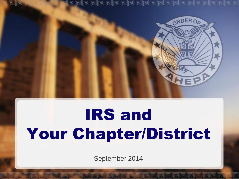

# IRS and Your Chapter/District

September 2014

**dddddddd**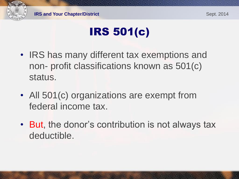

# IRS 501(c)

- IRS has many different tax exemptions and non- profit classifications known as 501(c) status.
- All 501(c) organizations are exempt from federal income tax.

 $|C|$   $|C|$   $|C|$   $|C|$ 

• But, the donor's contribution is not always tax deductible.

**DDDDDDDDDDD**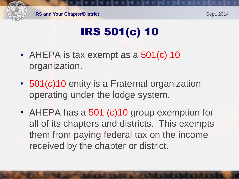

# IRS 501(c) 10

• AHEPA is tax exempt as a 501(c) 10 organization.

**DUDIO DU** 

- 501(c)10 entity is a Fraternal organization operating under the lodge system.
- AHEPA has a 501 (c) 10 group exemption for all of its chapters and districts. This exempts them from paying federal tax on the income received by the chapter or district.

**PIPIPIPIPIPIPIP**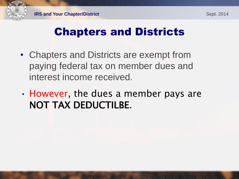

## Chapters and Districts

- Chapters and Districts are exempt from paying federal tax on member dues and interest income received.
- However, the dues a member pays are NOT TAX DEDUCTILBE.

<u>ieu ineu neu neu</u>

i pul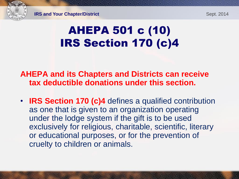## AHEPA 501 c (10) IRS Section 170 (c)4

#### **AHEPA and its Chapters and Districts can receive tax deductible donations under this section.**

• **IRS Section 170 (c)4** defines a qualified contribution as one that is given to an organization operating under the lodge system if the gift is to be used exclusively for religious, charitable, scientific, literary or educational purposes, or for the prevention of cruelty to children or animals.

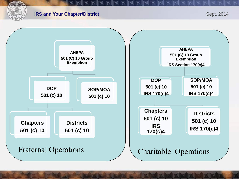

#### **IRS and Your Chapter/District Sept. 2014**

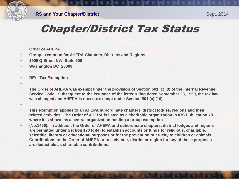

## Chapter/District Tax Status

- **Order of AHEPA**
- **Group exemption for AHEPA Chapters, Districts and Regions**
- **1909 Q Street NW, Suite 500**
- **Washington DC 20009**
- •
- **RE: Tax Exemption**
- •
- **The Order of AHEPA was exempt under the provision of Section 501 (c) (8) of the Internal Revenue Service Code. Subsequent to the issuance of the letter ruling dated September 28, 1959, the tax law was changed and AHEPA is now tax exempt under Section 501 (c) (10).**
- •
- **This exemption applies to all AHEPA subordinate chapters, district lodges, regions and their related activities. The Order of AHEPA is listed as a charitable organization in IRS Publication 78 where it is shown as a central organization holding a group exemption**
- **(No.1466). In addition, the Order of AHEPA and subordinate chapters, district lodges and regions are permitted under Section 170 (c)(4) to establish accounts or funds for religious, charitable, scientific, literary or educational purposes or for the prevention of cruelty to children or animals. Contributions to the Order of AHEPA or to a chapter, district or region for any of these purposes are deductible as charitable contributions.**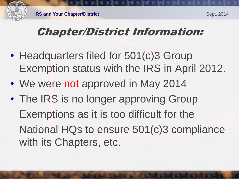## Chapter/District Information:

- Headquarters filed for 501(c)3 Group Exemption status with the IRS in April 2012.
- We were not approved in May 2014

• The IRS is no longer approving Group Exemptions as it is too difficult for the National HQs to ensure 501(c)3 compliance with its Chapters, etc.

**DDDDDDDDDDDD**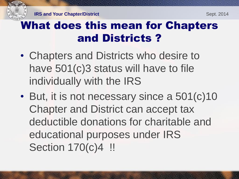## What does this mean for Chapters and Districts ?

- Chapters and Districts who desire to have 501(c)3 status will have to file individually with the IRS
- But, it is not necessary since a 501(c)10 Chapter and District can accept tax deductible donations for charitable and educational purposes under IRS Section 170(c)4 !!

لوزلو لوزلوزلوز لوزلوز لوزلوز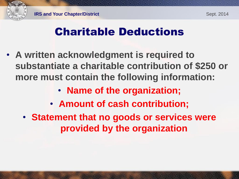## Charitable Deductions

- **A written acknowledgment is required to substantiate a charitable contribution of \$250 or more must contain the following information:**
	- **Name of the organization;**
	- **Amount of cash contribution;**
	- **Statement that no goods or services were provided by the organization**

i pul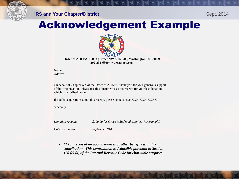

#### **IRS and Your Chapter/District Sept. 2014**

### Acknowledgement Example



**Order of AHEPA 1909 Q Street NW Suite 500, Washington DC 20009 202-232-6300 ▪ www.ahepa.org** 

Name **Address** 

On behalf of Chapter XX of the Order of AHEPA, thank you for your generous support of this organization. Please use this document as a tax receipt for your last donation, which is described below.

If you have questions about this receipt, please contact us at XXX-XXX-XXXX.

Sincerely,

*Donation Amount \$100.00 for Greek Relief food supplies (for example)*

*Date of Donation Septembe 2014*

• *\*\*You received no goods, services or other benefits with this contribution. This contribution is deductible pursuant to Section 170 (c) (4) of the Internal Revenue Code for charitable purposes.*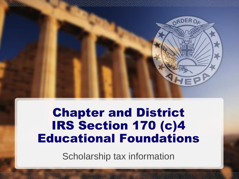

## Chapter and District IRS Section 170 (c)4 Educational Foundations

Scholarship tax information

ا لم لم إلى الم إلى إلى الم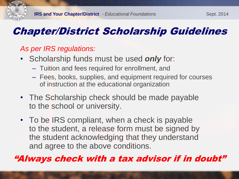## Chapter/District Scholarship Guidelines

#### *As per IRS regulations:*

- Scholarship funds must be used *only* for:
	- Tuition and fees required for enrollment, and
	- Fees, books, supplies, and equipment required for courses of instruction at the educational organization
- The Scholarship check should be made payable to the school or university.
- To be IRS compliant, when a check is payable to the student, a release form must be signed by the student acknowledging that they understand and agree to the above conditions.

dicidiu dicidiu di di d

#### "Always check with a tax advisor if in doubt"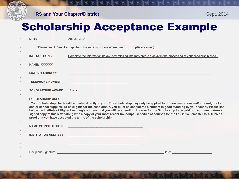

**IRS and Your Chapter/District Sept. 2014** 

## Scholarship Acceptance Example

| $\bullet$      | DATE:                                                                                                                                                                                                                                                                                                                                                                                                                                                                                                                                                                                                                                       | <b>August, 2014</b>                                                                                                                                                                                                                                                                                                                                                                                                                                              |
|----------------|---------------------------------------------------------------------------------------------------------------------------------------------------------------------------------------------------------------------------------------------------------------------------------------------------------------------------------------------------------------------------------------------------------------------------------------------------------------------------------------------------------------------------------------------------------------------------------------------------------------------------------------------|------------------------------------------------------------------------------------------------------------------------------------------------------------------------------------------------------------------------------------------------------------------------------------------------------------------------------------------------------------------------------------------------------------------------------------------------------------------|
| ٠<br>٠         |                                                                                                                                                                                                                                                                                                                                                                                                                                                                                                                                                                                                                                             | (Please check) Yes, I accept the scholarship you have offered me ______ (Please Initial).                                                                                                                                                                                                                                                                                                                                                                        |
| $\bullet$      | <b>INSTRUCTIONS:</b>                                                                                                                                                                                                                                                                                                                                                                                                                                                                                                                                                                                                                        | Complete the information below. Any missing info may create a delay in the processing of your scholarship check!                                                                                                                                                                                                                                                                                                                                                 |
| $\bullet$      | NAME: XXXXXX                                                                                                                                                                                                                                                                                                                                                                                                                                                                                                                                                                                                                                |                                                                                                                                                                                                                                                                                                                                                                                                                                                                  |
| $\bullet$<br>٠ | <b>MAILING ADDRESS:</b>                                                                                                                                                                                                                                                                                                                                                                                                                                                                                                                                                                                                                     |                                                                                                                                                                                                                                                                                                                                                                                                                                                                  |
| $\bullet$      | <b>TELEPHONE NUMBER:</b>                                                                                                                                                                                                                                                                                                                                                                                                                                                                                                                                                                                                                    | and the control of the control of the control of the control of the control of the control of the control of the                                                                                                                                                                                                                                                                                                                                                 |
| $\bullet$<br>٠ | <b>SCHOLARSHIP AWARD:</b>                                                                                                                                                                                                                                                                                                                                                                                                                                                                                                                                                                                                                   | <b><i>SXXXX</i></b>                                                                                                                                                                                                                                                                                                                                                                                                                                              |
| $\bullet$      | <b>SCHOLARSHIP USE:</b>                                                                                                                                                                                                                                                                                                                                                                                                                                                                                                                                                                                                                     |                                                                                                                                                                                                                                                                                                                                                                                                                                                                  |
| $\bullet$      | Your Scholarship check will be mailed directly to you. The scholarship may only be applied for tuition fees, room and/or board, books<br>and/or school supplies. To be eligible for the scholarship, you must be considered a student in good standing by your school. Please list<br>below the institute of Higher Learning's address that you will be attending. In order for the Scholarship to be paid out, you must return a<br>signed copy of this letter along with a copy of your most recent transcript / schedule of courses for the Fall 2014 Semester to AHEPA as<br>proof that you have accepted the terms of the scholarship! |                                                                                                                                                                                                                                                                                                                                                                                                                                                                  |
| $\bullet$      |                                                                                                                                                                                                                                                                                                                                                                                                                                                                                                                                                                                                                                             |                                                                                                                                                                                                                                                                                                                                                                                                                                                                  |
| ٠              |                                                                                                                                                                                                                                                                                                                                                                                                                                                                                                                                                                                                                                             |                                                                                                                                                                                                                                                                                                                                                                                                                                                                  |
|                |                                                                                                                                                                                                                                                                                                                                                                                                                                                                                                                                                                                                                                             | <u>restaurante de la comparación de la compa</u>                                                                                                                                                                                                                                                                                                                                                                                                                 |
| $\bullet$      |                                                                                                                                                                                                                                                                                                                                                                                                                                                                                                                                                                                                                                             | Recipient Signature: New York School School School School School School School School School School School School School School School School School School School School School School School School School School School Sch<br>Date: the contract of the contract of the contract of the contract of the contract of the contract of the contract of the contract of the contract of the contract of the contract of the contract of the contract of the cont |
|                |                                                                                                                                                                                                                                                                                                                                                                                                                                                                                                                                                                                                                                             |                                                                                                                                                                                                                                                                                                                                                                                                                                                                  |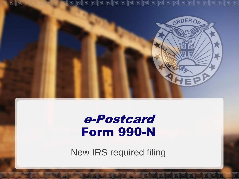

## e-Postcard Form 990-N

New IRS required filing

**PERIDINA** 

 $\overline{1}$ 

已

والم لم لم لم الم لم الم الم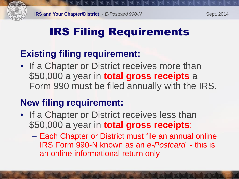

## IRS Filing Requirements

### **Existing filing requirement:**

• If a Chapter or District receives more than \$50,000 a year in **total gross receipts** a Form 990 must be filed annually with the IRS.

### **New filing requirement:**

• If a Chapter or District receives less than \$50,000 a year in **total gross receipts**:

**DE DE DE DE DE** 

– Each Chapter or District must file an annual online IRS Form 990-N known as an *e-Postcard -* this is an online informational return only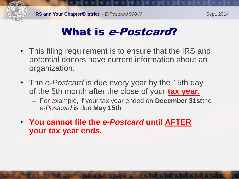

## What is e-Postcard?

- This filing requirement is to ensure that the IRS and potential donors have current information about an organization.
- The *e-Postcard* is due every year by the 15th day of the 5th month after the close of your **tax year.**
	- For example, if your tax year ended on **December 31st**the *e-Postcard* is due **May 15th**

**PUPUPUPUPU** 

 $|T_2|$ 

• **You cannot file the** *e-Postcard* **until AFTER your tax year ends.**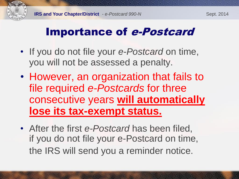## Importance of e-Postcard

- If you do not file your *e-Postcard* on time, you will not be assessed a penalty.
- However, an organization that fails to file required *e-Postcards* for three consecutive years **will automatically lose its tax-exempt status.**
- After the first *e-Postcard* has been filed, if you do not file your e-Postcard on time, the IRS will send you a reminder notice.

**FUDIO DE DE DE** 

**POPULLE POPULLE**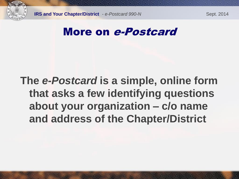

## More on e-Postcard

## **The** *e-Postcard* **is a simple, online form that asks a few identifying questions about your organization – c/o name and address of the Chapter/District**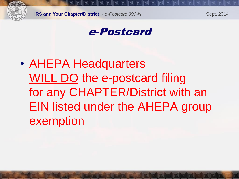

#### e-Postcard

# • AHEPA Headquarters WILL DO the e-postcard filing for any CHAPTER/District with an EIN listed under the AHEPA group exemption

<u>ieu ieu ieu ieu</u>